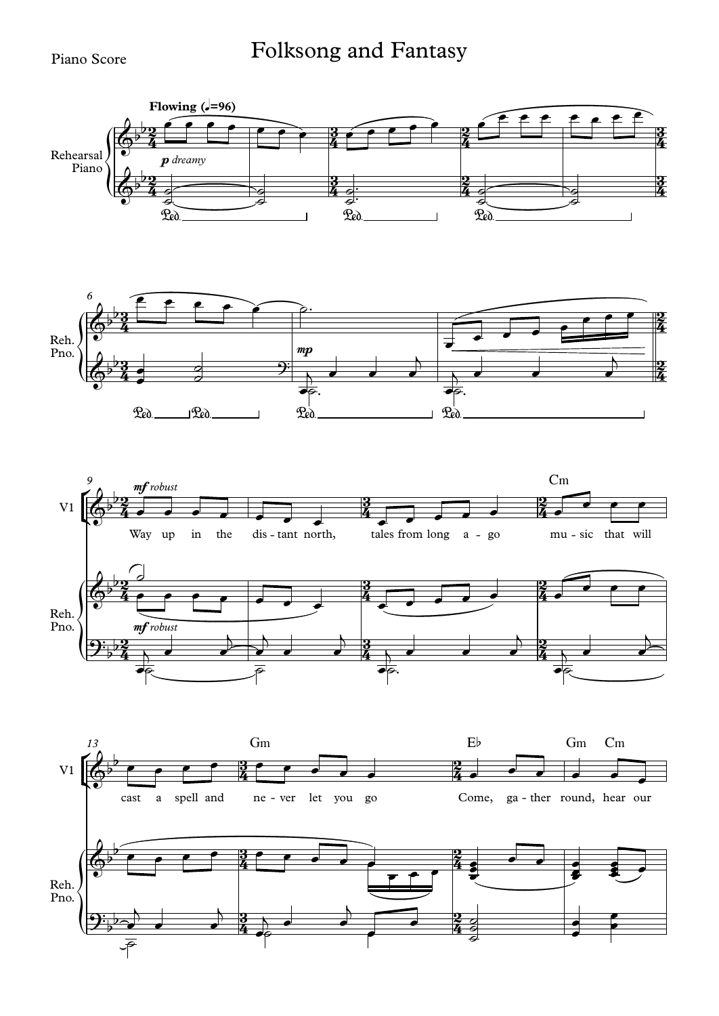## Folksong and Fantasy

## Piano Score

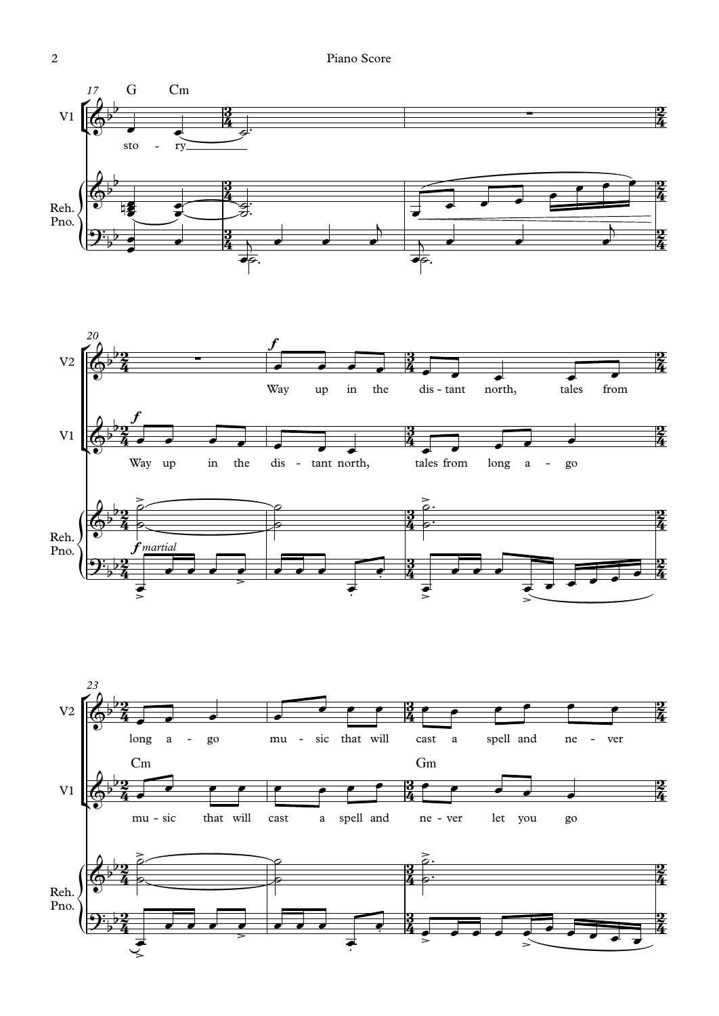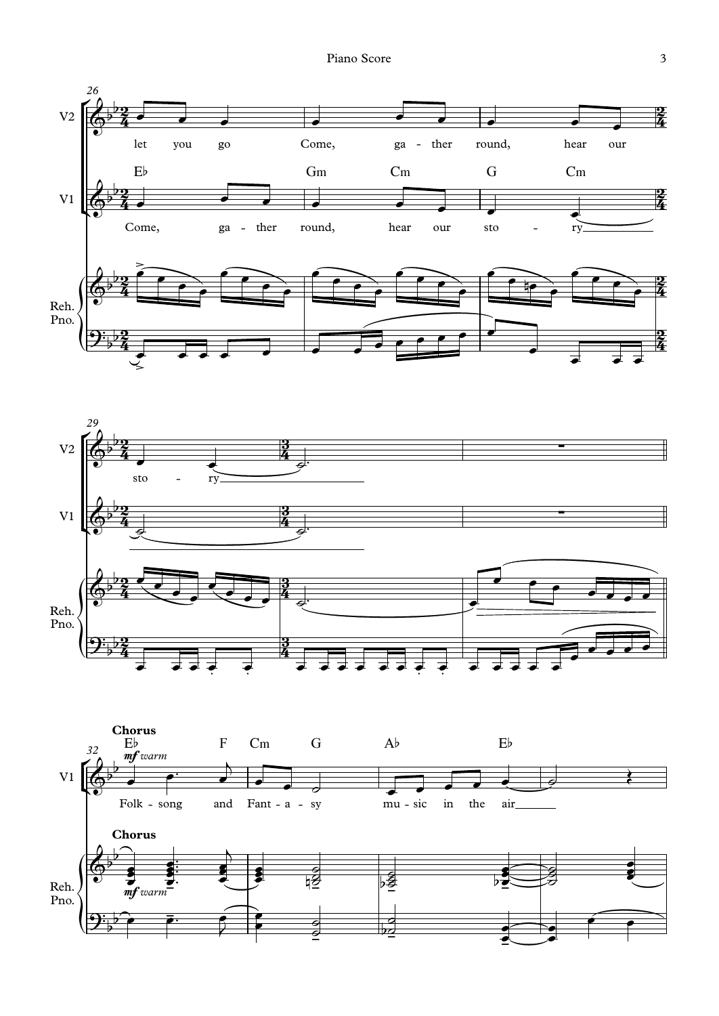



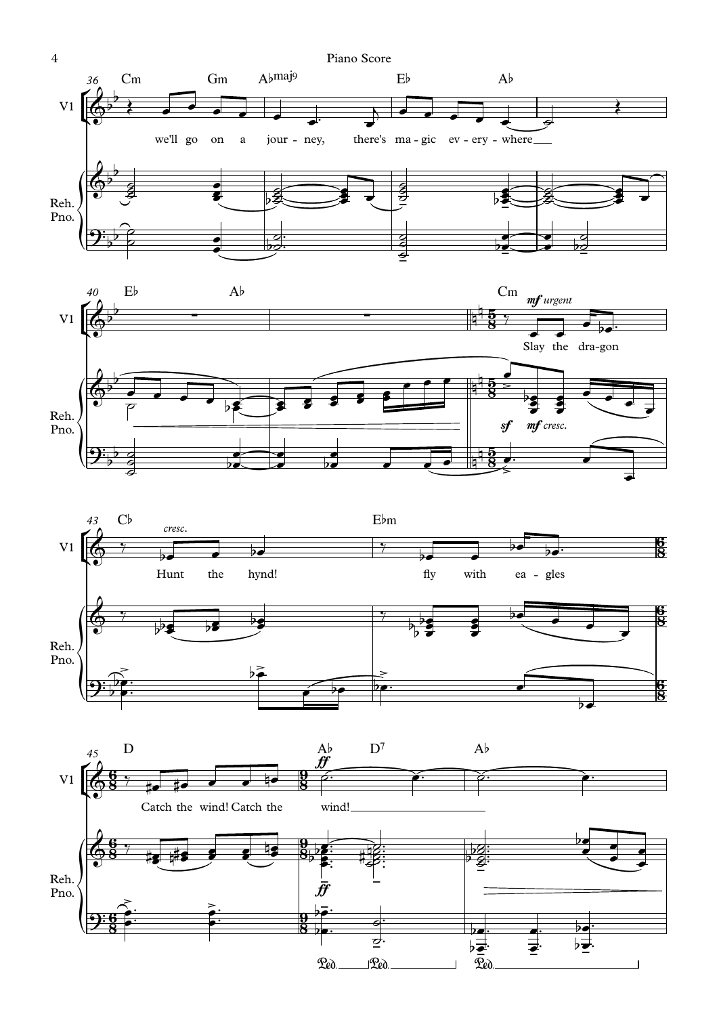





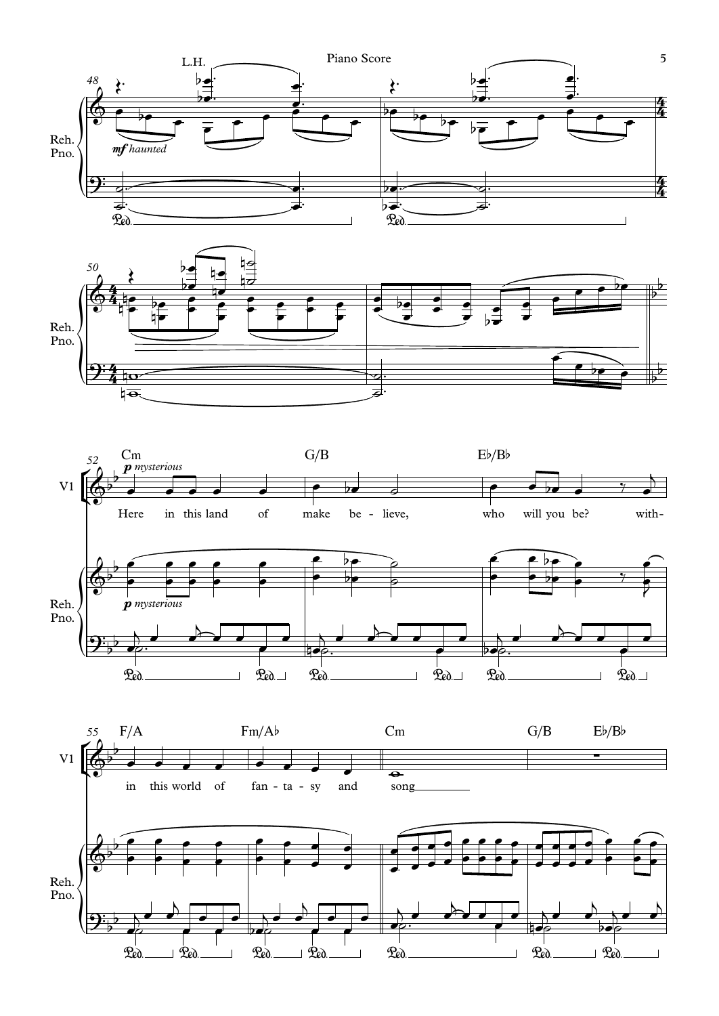





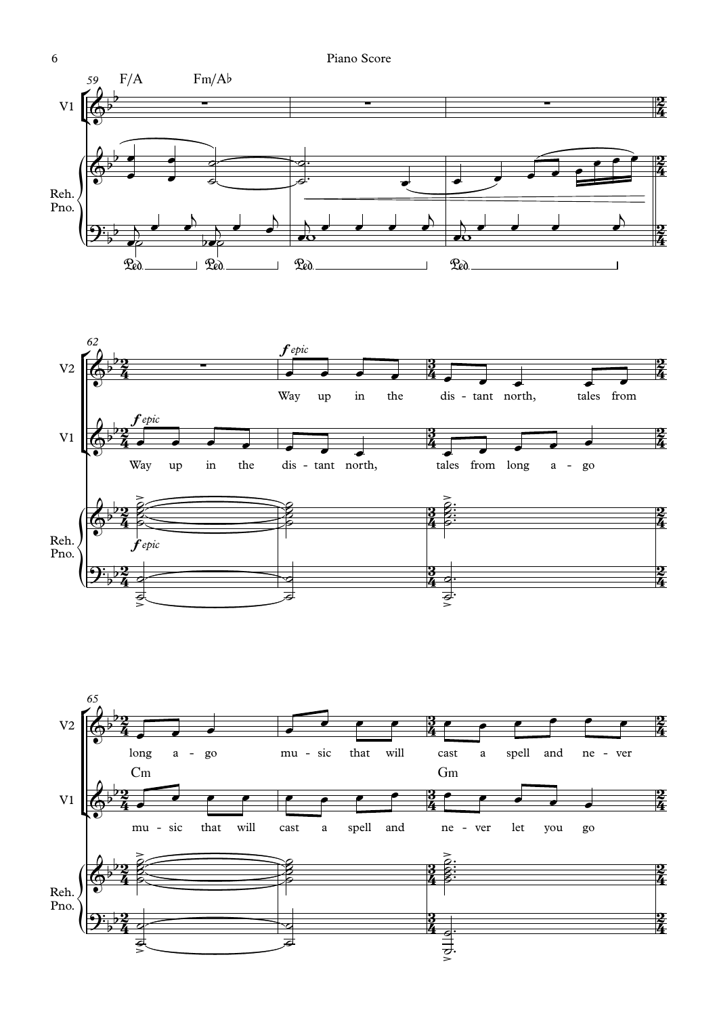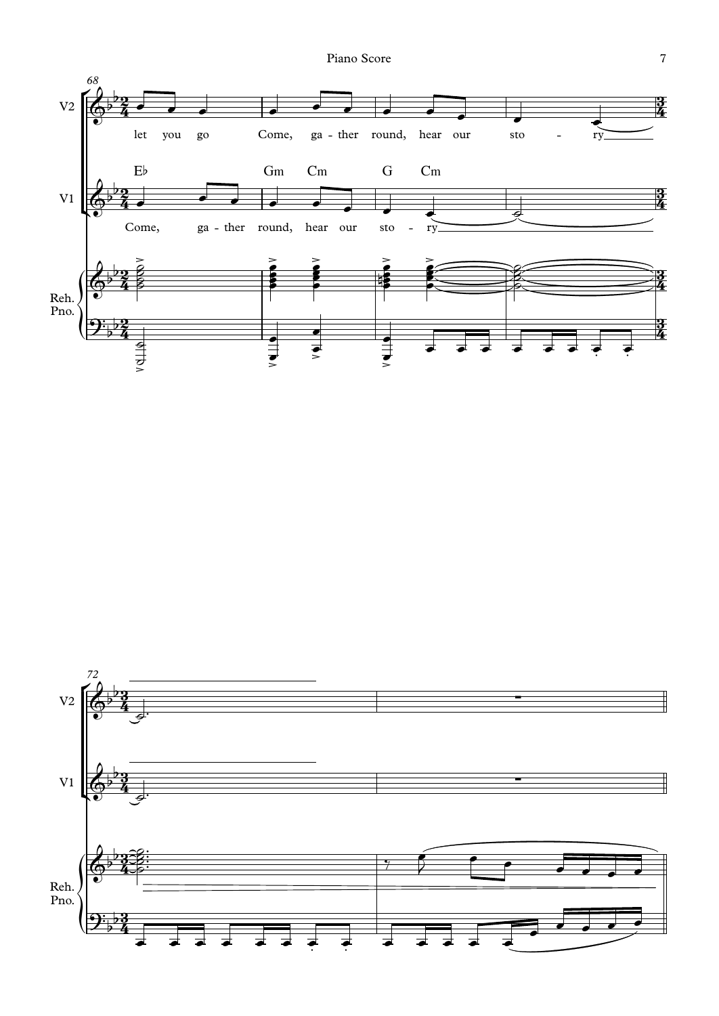

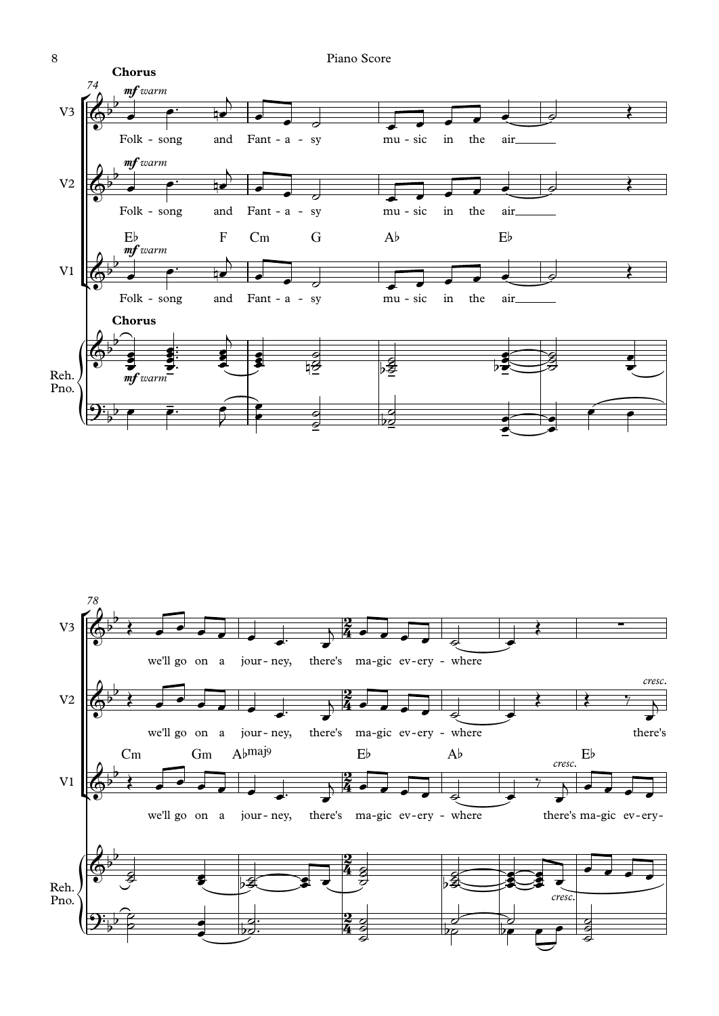